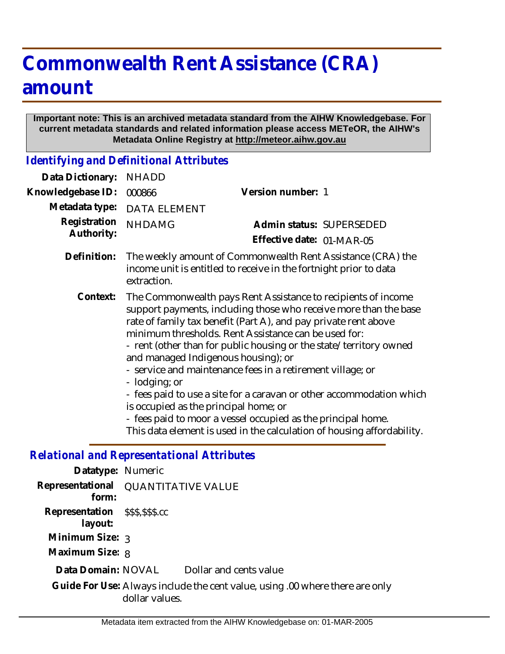## **Commonwealth Rent Assistance (CRA) amount**

## **Important note: This is an archived metadata standard from the AIHW Knowledgebase. For current metadata standards and related information please access METeOR, the AIHW's Metadata Online Registry at http://meteor.aihw.gov.au**

*Identifying and Definitional Attributes*

| Data Dictionary:                                  | <b>NHADD</b>                                                                                                                                                                                                                                                                                                                                                                                                                                                                                                                                                                                                                                                                                                                                                                                                                                                           |                                                       |
|---------------------------------------------------|------------------------------------------------------------------------------------------------------------------------------------------------------------------------------------------------------------------------------------------------------------------------------------------------------------------------------------------------------------------------------------------------------------------------------------------------------------------------------------------------------------------------------------------------------------------------------------------------------------------------------------------------------------------------------------------------------------------------------------------------------------------------------------------------------------------------------------------------------------------------|-------------------------------------------------------|
| Knowledgebase ID:                                 | 000866                                                                                                                                                                                                                                                                                                                                                                                                                                                                                                                                                                                                                                                                                                                                                                                                                                                                 | Version number: 1                                     |
| Metadata type:                                    | <b>DATA ELEMENT</b>                                                                                                                                                                                                                                                                                                                                                                                                                                                                                                                                                                                                                                                                                                                                                                                                                                                    |                                                       |
| Registration<br>Authority:                        | <b>NHDAMG</b>                                                                                                                                                                                                                                                                                                                                                                                                                                                                                                                                                                                                                                                                                                                                                                                                                                                          | Admin status: SUPERSEDED<br>Effective date: 01-MAR-05 |
| Definition:                                       | The weekly amount of Commonwealth Rent Assistance (CRA) the<br>income unit is entitled to receive in the fortnight prior to data<br>extraction.<br>The Commonwealth pays Rent Assistance to recipients of income<br>support payments, including those who receive more than the base<br>rate of family tax benefit (Part A), and pay private rent above<br>minimum thresholds. Rent Assistance can be used for:<br>- rent (other than for public housing or the state/territory owned<br>and managed Indigenous housing); or<br>- service and maintenance fees in a retirement village; or<br>- lodging; or<br>- fees paid to use a site for a caravan or other accommodation which<br>is occupied as the principal home; or<br>- fees paid to moor a vessel occupied as the principal home.<br>This data element is used in the calculation of housing affordability. |                                                       |
| Context:                                          |                                                                                                                                                                                                                                                                                                                                                                                                                                                                                                                                                                                                                                                                                                                                                                                                                                                                        |                                                       |
| <b>Relational and Representational Attributes</b> |                                                                                                                                                                                                                                                                                                                                                                                                                                                                                                                                                                                                                                                                                                                                                                                                                                                                        |                                                       |

## *Relational and Representational Attributes*

| Datatype: Numeric                          |                    |                                                                              |
|--------------------------------------------|--------------------|------------------------------------------------------------------------------|
| Representational<br>form:                  | QUANTITATIVE VALUE |                                                                              |
| Representation \$\$\$,\$\$\$.cc<br>layout: |                    |                                                                              |
| Minimum Size: 3                            |                    |                                                                              |
| Maximum Size: 8                            |                    |                                                                              |
| Data Domain: NOVAL                         |                    | Dollar and cents value                                                       |
|                                            | dollar values.     | Guide For Use: Always include the cent value, using .00 where there are only |